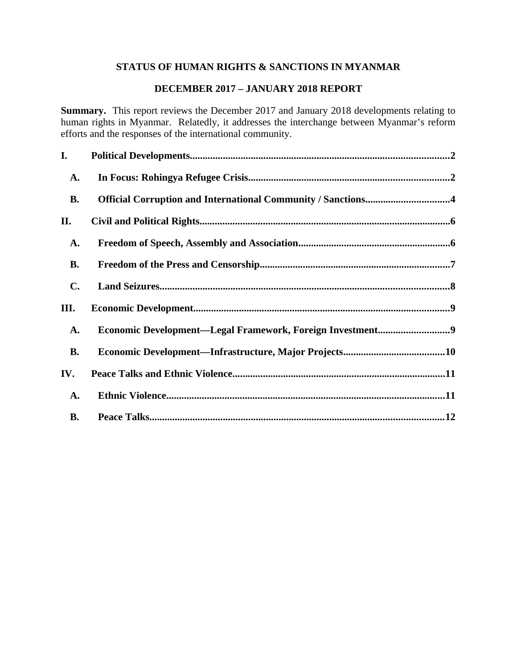# **STATUS OF HUMAN RIGHTS & SANCTIONS IN MYANMAR**

## **DECEMBER 2017 – JANUARY 2018 REPORT**

**Summary.** This report reviews the December 2017 and January 2018 developments relating to human rights in Myanmar. Relatedly, it addresses the interchange between Myanmar's reform efforts and the responses of the international community.

| I.             |                                                              |
|----------------|--------------------------------------------------------------|
| A.             |                                                              |
| <b>B.</b>      | Official Corruption and International Community / Sanctions4 |
| II.            |                                                              |
| A.             |                                                              |
| <b>B.</b>      |                                                              |
| $\mathbf{C}$ . |                                                              |
| III.           |                                                              |
| A.             | Economic Development-Legal Framework, Foreign Investment9    |
| <b>B.</b>      |                                                              |
| IV.            |                                                              |
| A.             |                                                              |
| <b>B.</b>      |                                                              |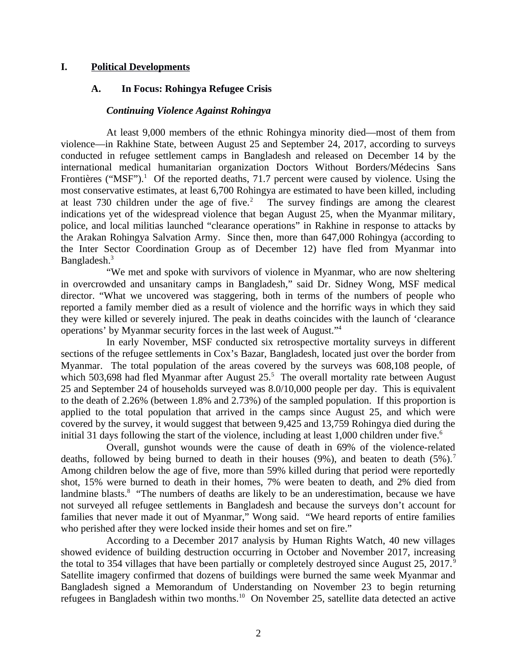## **I. Political Developments**

## <span id="page-1-0"></span>**A. In Focus: Rohingya Refugee Crisis**

#### <span id="page-1-1"></span>*Continuing Violence Against Rohingya*

At least 9,000 members of the ethnic Rohingya minority died—most of them from violence—in Rakhine State, between August 25 and September 24, 2017, according to surveys conducted in refugee settlement camps in Bangladesh and released on December 14 by the international medical humanitarian organization Doctors Without Borders/Médecins Sans Frontières (" $MSF$ ").<sup>1</sup> Of the reported deaths, 71.7 percent were caused by violence. Using the most conservative estimates, at least 6,700 Rohingya are estimated to have been killed, including at least  $730$  children under the age of five.<sup>2</sup> The survey findings are among the clearest indications yet of the widespread violence that began August 25, when the Myanmar military, police, and local militias launched "clearance operations" in Rakhine in response to attacks by the Arakan Rohingya Salvation Army. Since then, more than 647,000 Rohingya (according to the Inter Sector Coordination Group as of December 12) have fled from Myanmar into Bangladesh.<sup>3</sup>

"We met and spoke with survivors of violence in Myanmar, who are now sheltering in overcrowded and unsanitary camps in Bangladesh," said Dr. Sidney Wong, MSF medical director. "What we uncovered was staggering, both in terms of the numbers of people who reported a family member died as a result of violence and the horrific ways in which they said they were killed or severely injured. The peak in deaths coincides with the launch of 'clearance operations' by Myanmar security forces in the last week of August."<sup>4</sup>

In early November, MSF conducted six retrospective mortality surveys in different sections of the refugee settlements in Cox's Bazar, Bangladesh, located just over the border from Myanmar. The total population of the areas covered by the surveys was 608,108 people, of which 503,698 had fled Myanmar after August 25.<sup>5</sup> The overall mortality rate between August 25 and September 24 of households surveyed was 8.0/10,000 people per day. This is equivalent to the death of 2.26% (between 1.8% and 2.73%) of the sampled population. If this proportion is applied to the total population that arrived in the camps since August 25, and which were covered by the survey, it would suggest that between 9,425 and 13,759 Rohingya died during the initial 31 days following the start of the violence, including at least 1,000 children under five. $6$ 

Overall, gunshot wounds were the cause of death in 69% of the violence-related deaths, followed by being burned to death in their houses  $(9%)$ , and beaten to death  $(5%)$ . Among children below the age of five, more than 59% killed during that period were reportedly shot, 15% were burned to death in their homes, 7% were beaten to death, and 2% died from landmine blasts.<sup>8</sup> "The numbers of deaths are likely to be an underestimation, because we have not surveyed all refugee settlements in Bangladesh and because the surveys don't account for families that never made it out of Myanmar," Wong said. "We heard reports of entire families who perished after they were locked inside their homes and set on fire."

According to a December 2017 analysis by Human Rights Watch, 40 new villages showed evidence of building destruction occurring in October and November 2017, increasing the total to 354 villages that have been partially or completely destroyed since August 25, 2017.<sup>9</sup> Satellite imagery confirmed that dozens of buildings were burned the same week Myanmar and Bangladesh signed a Memorandum of Understanding on November 23 to begin returning refugees in Bangladesh within two months.<sup>10</sup> On November 25, satellite data detected an active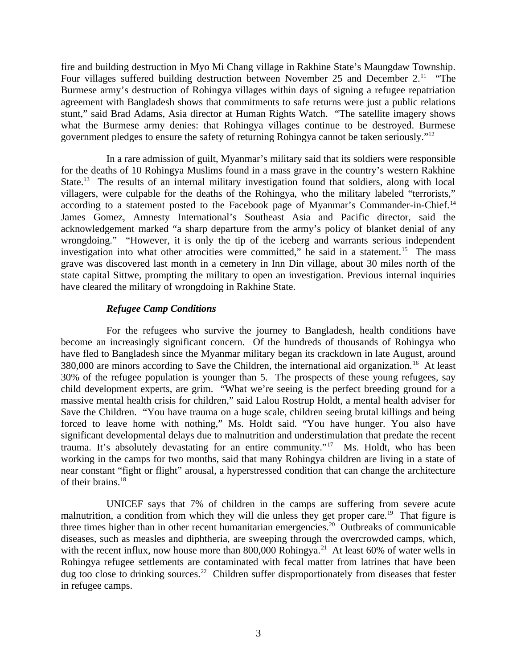fire and building destruction in Myo Mi Chang village in Rakhine State's Maungdaw Township. Four villages suffered building destruction between November 25 and December  $2.^{11}$  "The Burmese army's destruction of Rohingya villages within days of signing a refugee repatriation agreement with Bangladesh shows that commitments to safe returns were just a public relations stunt," said Brad Adams, Asia director at Human Rights Watch. "The satellite imagery shows what the Burmese army denies: that Rohingya villages continue to be destroyed. Burmese government pledges to ensure the safety of returning Rohingya cannot be taken seriously."<sup>12</sup>

In a rare admission of guilt, Myanmar's military said that its soldiers were responsible for the deaths of 10 Rohingya Muslims found in a mass grave in the country's western Rakhine State.<sup>13</sup> The results of an internal military investigation found that soldiers, along with local villagers, were culpable for the deaths of the Rohingya, who the military labeled "terrorists," according to a statement posted to the Facebook page of Myanmar's Commander-in-Chief.<sup>14</sup> James Gomez, Amnesty International's Southeast Asia and Pacific director, said the acknowledgement marked "a sharp departure from the army's policy of blanket denial of any wrongdoing." "However, it is only the tip of the iceberg and warrants serious independent investigation into what other atrocities were committed," he said in a statement.<sup>15</sup> The mass grave was discovered last month in a cemetery in Inn Din village, about 30 miles north of the state capital Sittwe, prompting the military to open an investigation. Previous internal inquiries have cleared the military of wrongdoing in Rakhine State.

### *Refugee Camp Conditions*

For the refugees who survive the journey to Bangladesh, health conditions have become an increasingly significant concern. Of the hundreds of thousands of Rohingya who have fled to Bangladesh since the Myanmar military began its crackdown in late August, around 380,000 are minors according to Save the Children, the international aid organization.<sup>16</sup> At least 30% of the refugee population is younger than 5. The prospects of these young refugees, say child development experts, are grim. "What we're seeing is the perfect breeding ground for a massive mental health crisis for children," said Lalou Rostrup Holdt, a mental health adviser for Save the Children. "You have trauma on a huge scale, children seeing brutal killings and being forced to leave home with nothing," Ms. Holdt said. "You have hunger. You also have significant developmental delays due to malnutrition and understimulation that predate the recent trauma. It's absolutely devastating for an entire community."<sup>17</sup> Ms. Holdt, who has been working in the camps for two months, said that many Rohingya children are living in a state of near constant "fight or flight" arousal, a hyperstressed condition that can change the architecture of their brains.<sup>18</sup>

UNICEF says that 7% of children in the camps are suffering from severe acute malnutrition, a condition from which they will die unless they get proper care.<sup>19</sup> That figure is three times higher than in other recent humanitarian emergencies.<sup>20</sup> Outbreaks of communicable diseases, such as measles and diphtheria, are sweeping through the overcrowded camps, which, with the recent influx, now house more than 800,000 Rohingya.<sup>21</sup> At least 60% of water wells in Rohingya refugee settlements are contaminated with fecal matter from latrines that have been dug too close to drinking sources.<sup>22</sup> Children suffer disproportionately from diseases that fester in refugee camps.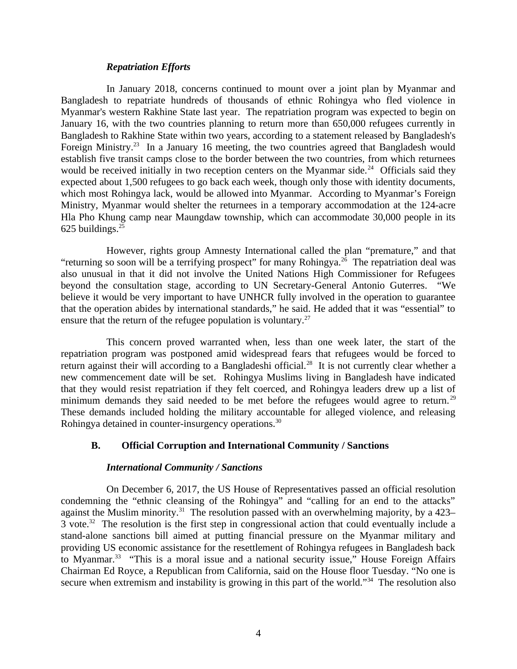#### *Repatriation Efforts*

In January 2018, concerns continued to mount over a joint plan by Myanmar and Bangladesh to repatriate hundreds of thousands of ethnic Rohingya who fled violence in Myanmar's western Rakhine State last year. The repatriation program was expected to begin on January 16, with the two countries planning to return more than 650,000 refugees currently in Bangladesh to Rakhine State within two years, according to a statement released by Bangladesh's Foreign Ministry.<sup>23</sup> In a January 16 meeting, the two countries agreed that Bangladesh would establish five transit camps close to the border between the two countries, from which returnees would be received initially in two reception centers on the Myanmar side.<sup>24</sup> Officials said they expected about 1,500 refugees to go back each week, though only those with identity documents, which most Rohingya lack, would be allowed into Myanmar. According to Myanmar's Foreign Ministry, Myanmar would shelter the returnees in a temporary accommodation at the 124-acre Hla Pho Khung camp near Maungdaw township, which can accommodate 30,000 people in its 625 buildings. $25$ 

However, rights group Amnesty International called the plan "premature," and that "returning so soon will be a terrifying prospect" for many Rohingya.<sup>26</sup> The repatriation deal was also unusual in that it did not involve the United Nations High Commissioner for Refugees beyond the consultation stage, according to UN Secretary-General Antonio Guterres. "We believe it would be very important to have UNHCR fully involved in the operation to guarantee that the operation abides by international standards," he said. He added that it was "essential" to ensure that the return of the refugee population is voluntary. $27$ 

This concern proved warranted when, less than one week later, the start of the repatriation program was postponed amid widespread fears that refugees would be forced to return against their will according to a Bangladeshi official.<sup>28</sup> It is not currently clear whether a new commencement date will be set. Rohingya Muslims living in Bangladesh have indicated that they would resist repatriation if they felt coerced, and Rohingya leaders drew up a list of minimum demands they said needed to be met before the refugees would agree to return.<sup>29</sup> These demands included holding the military accountable for alleged violence, and releasing Rohingya detained in counter-insurgency operations.<sup>30</sup>

### **B. Official Corruption and International Community / Sanctions**

#### <span id="page-3-0"></span>*International Community / Sanctions*

On December 6, 2017, the US House of Representatives passed an official resolution condemning the "ethnic cleansing of the Rohingya" and "calling for an end to the attacks" against the Muslim minority.<sup>31</sup> The resolution passed with an overwhelming majority, by a 423– 3 vote.<sup>32</sup> The resolution is the first step in congressional action that could eventually include a stand-alone sanctions bill aimed at putting financial pressure on the Myanmar military and providing US economic assistance for the resettlement of Rohingya refugees in Bangladesh back to Myanmar.<sup>33</sup> "This is a moral issue and a national security issue," House Foreign Affairs Chairman Ed Royce, a Republican from California, said on the House floor Tuesday. "No one is secure when extremism and instability is growing in this part of the world."<sup>34</sup> The resolution also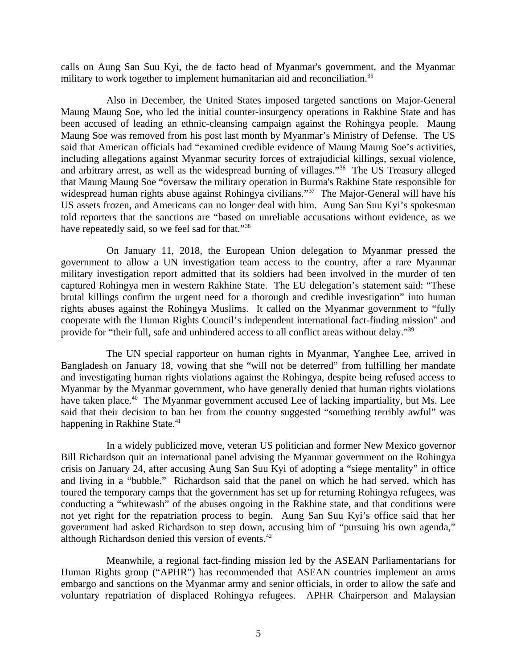calls on Aung San Suu Kyi, the de facto head of Myanmar's government, and the Myanmar military to work together to implement humanitarian aid and reconciliation. $35$ 

Also in December, the United States imposed targeted sanctions on Major-General Maung Maung Soe, who led the initial counter-insurgency operations in Rakhine State and has been accused of leading an ethnic-cleansing campaign against the Rohingya people. Maung Maung Soe was removed from his post last month by Myanmar's Ministry of Defense. The US said that American officials had "examined credible evidence of Maung Maung Soe's activities, including allegations against Myanmar security forces of extrajudicial killings, sexual violence, and arbitrary arrest, as well as the widespread burning of villages."<sup>36</sup> The US Treasury alleged that Maung Maung Soe "oversaw the military operation in Burma's Rakhine State responsible for widespread human rights abuse against Rohingya civilians."<sup>37</sup> The Major-General will have his US assets frozen, and Americans can no longer deal with him. Aung San Suu Kyi's spokesman told reporters that the sanctions are "based on unreliable accusations without evidence, as we have repeatedly said, so we feel sad for that."<sup>38</sup>

On January 11, 2018, the European Union delegation to Myanmar pressed the government to allow a UN investigation team access to the country, after a rare Myanmar military investigation report admitted that its soldiers had been involved in the murder of ten captured Rohingya men in western Rakhine State. The EU delegation's statement said: "These brutal killings confirm the urgent need for a thorough and credible investigation" into human rights abuses against the Rohingya Muslims. It called on the Myanmar government to "fully cooperate with the Human Rights Council's independent international fact-finding mission" and provide for "their full, safe and unhindered access to all conflict areas without delay."<sup>39</sup>

The UN special rapporteur on human rights in Myanmar, Yanghee Lee, arrived in Bangladesh on January 18, vowing that she "will not be deterred" from fulfilling her mandate and investigating human rights violations against the Rohingya, despite being refused access to Myanmar by the Myanmar government, who have generally denied that human rights violations have taken place.<sup>40</sup> The Myanmar government accused Lee of lacking impartiality, but Ms. Lee said that their decision to ban her from the country suggested "something terribly awful" was happening in Rakhine State.<sup>41</sup>

In a widely publicized move, veteran US politician and former New Mexico governor Bill Richardson quit an international panel advising the Myanmar government on the Rohingya crisis on January 24, after accusing Aung San Suu Kyi of adopting a "siege mentality" in office and living in a "bubble." Richardson said that the panel on which he had served, which has toured the temporary camps that the government has set up for returning Rohingya refugees, was conducting a "whitewash" of the abuses ongoing in the Rakhine state, and that conditions were not yet right for the repatriation process to begin. Aung San Suu Kyi's office said that her government had asked Richardson to step down, accusing him of "pursuing his own agenda," although Richardson denied this version of events. $42$ 

Meanwhile, a regional fact-finding mission led by the ASEAN Parliamentarians for Human Rights group ("APHR") has recommended that ASEAN countries implement an arms embargo and sanctions on the Myanmar army and senior officials, in order to allow the safe and voluntary repatriation of displaced Rohingya refugees. APHR Chairperson and Malaysian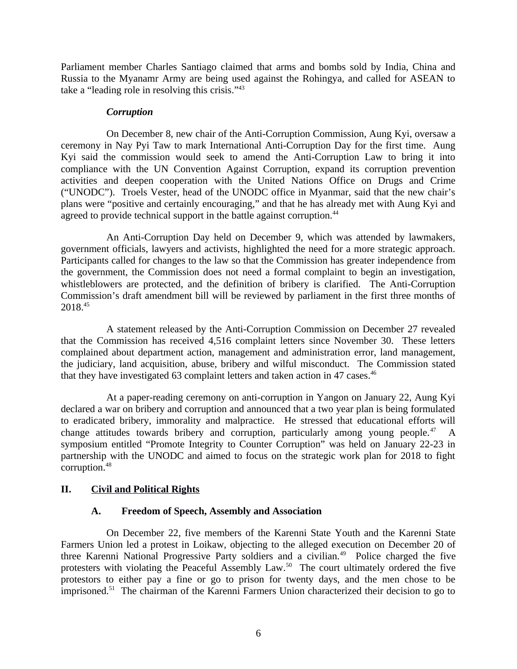Parliament member Charles Santiago claimed that arms and bombs sold by India, China and Russia to the Myanamr Army are being used against the Rohingya, and called for ASEAN to take a "leading role in resolving this crisis."<sup>43</sup>

#### *Corruption*

On December 8, new chair of the Anti-Corruption Commission, Aung Kyi, oversaw a ceremony in Nay Pyi Taw to mark International Anti-Corruption Day for the first time. Aung Kyi said the commission would seek to amend the Anti-Corruption Law to bring it into compliance with the UN Convention Against Corruption, expand its corruption prevention activities and deepen cooperation with the United Nations Office on Drugs and Crime ("UNODC"). Troels Vester, head of the UNODC office in Myanmar, said that the new chair's plans were "positive and certainly encouraging," and that he has already met with Aung Kyi and agreed to provide technical support in the battle against corruption.<sup>44</sup>

An Anti-Corruption Day held on December 9, which was attended by lawmakers, government officials, lawyers and activists, highlighted the need for a more strategic approach. Participants called for changes to the law so that the Commission has greater independence from the government, the Commission does not need a formal complaint to begin an investigation, whistleblowers are protected, and the definition of bribery is clarified. The Anti-Corruption Commission's draft amendment bill will be reviewed by parliament in the first three months of 2018.<sup>45</sup>

A statement released by the Anti-Corruption Commission on December 27 revealed that the Commission has received 4,516 complaint letters since November 30. These letters complained about department action, management and administration error, land management, the judiciary, land acquisition, abuse, bribery and wilful misconduct. The Commission stated that they have investigated 63 complaint letters and taken action in 47 cases.<sup>46</sup>

At a paper-reading ceremony on anti-corruption in Yangon on January 22, Aung Kyi declared a war on bribery and corruption and announced that a two year plan is being formulated to eradicated bribery, immorality and malpractice. He stressed that educational efforts will change attitudes towards bribery and corruption, particularly among young people. $47$ symposium entitled "Promote Integrity to Counter Corruption" was held on January 22-23 in partnership with the UNODC and aimed to focus on the strategic work plan for 2018 to fight corruption.<sup>48</sup>

### **II. Civil and Political Rights**

### <span id="page-5-1"></span><span id="page-5-0"></span>**A. Freedom of Speech, Assembly and Association**

On December 22, five members of the Karenni State Youth and the Karenni State Farmers Union led a protest in Loikaw, objecting to the alleged execution on December 20 of three Karenni National Progressive Party soldiers and a civilian.<sup>49</sup> Police charged the five protesters with violating the Peaceful Assembly Law.<sup>50</sup> The court ultimately ordered the five protestors to either pay a fine or go to prison for twenty days, and the men chose to be imprisoned.<sup>51</sup> The chairman of the Karenni Farmers Union characterized their decision to go to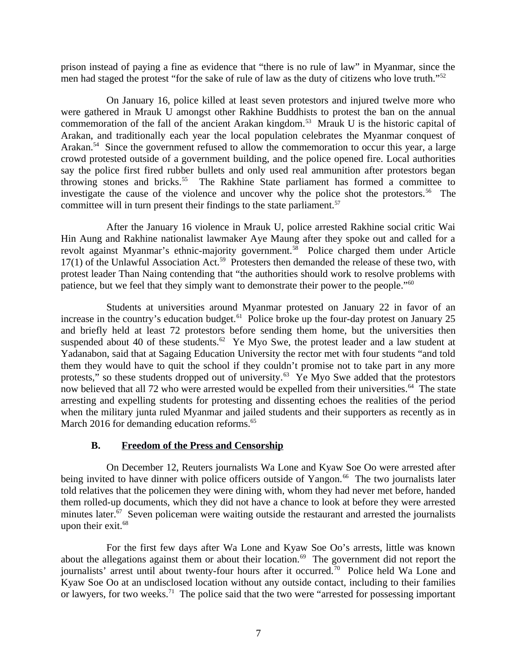prison instead of paying a fine as evidence that "there is no rule of law" in Myanmar, since the men had staged the protest "for the sake of rule of law as the duty of citizens who love truth."<sup>52</sup>

On January 16, police killed at least seven protestors and injured twelve more who were gathered in Mrauk U amongst other Rakhine Buddhists to protest the ban on the annual commemoration of the fall of the ancient Arakan kingdom.<sup>53</sup> Mrauk U is the historic capital of Arakan, and traditionally each year the local population celebrates the Myanmar conquest of Arakan.<sup>54</sup> Since the government refused to allow the commemoration to occur this year, a large crowd protested outside of a government building, and the police opened fire. Local authorities say the police first fired rubber bullets and only used real ammunition after protestors began throwing stones and bricks.<sup>55</sup> The Rakhine State parliament has formed a committee to investigate the cause of the violence and uncover why the police shot the protestors.<sup>56</sup> The committee will in turn present their findings to the state parliament.<sup>57</sup>

After the January 16 violence in Mrauk U, police arrested Rakhine social critic Wai Hin Aung and Rakhine nationalist lawmaker Aye Maung after they spoke out and called for a revolt against Myanmar's ethnic-majority government.<sup>58</sup> Police charged them under Article  $17(1)$  of the Unlawful Association Act.<sup>59</sup> Protesters then demanded the release of these two, with protest leader Than Naing contending that "the authorities should work to resolve problems with patience, but we feel that they simply want to demonstrate their power to the people."<sup>60</sup>

Students at universities around Myanmar protested on January 22 in favor of an increase in the country's education budget. $61$  Police broke up the four-day protest on January 25 and briefly held at least 72 protestors before sending them home, but the universities then suspended about 40 of these students.<sup>62</sup> Ye Myo Swe, the protest leader and a law student at Yadanabon, said that at Sagaing Education University the rector met with four students "and told them they would have to quit the school if they couldn't promise not to take part in any more protests," so these students dropped out of university.<sup>63</sup> Ye Myo Swe added that the protestors now believed that all 72 who were arrested would be expelled from their universities.<sup>64</sup> The state arresting and expelling students for protesting and dissenting echoes the realities of the period when the military junta ruled Myanmar and jailed students and their supporters as recently as in March 2016 for demanding education reforms.<sup>65</sup>

### <span id="page-6-0"></span>**B. Freedom of the Press and Censorship**

On December 12, Reuters journalists Wa Lone and Kyaw Soe Oo were arrested after being invited to have dinner with police officers outside of Yangon.<sup>66</sup> The two journalists later told relatives that the policemen they were dining with, whom they had never met before, handed them rolled-up documents, which they did not have a chance to look at before they were arrested minutes later.<sup>67</sup> Seven policeman were waiting outside the restaurant and arrested the journalists upon their exit.<sup>68</sup>

For the first few days after Wa Lone and Kyaw Soe Oo's arrests, little was known about the allegations against them or about their location.<sup>69</sup> The government did not report the journalists' arrest until about twenty-four hours after it occurred.<sup>70</sup> Police held Wa Lone and Kyaw Soe Oo at an undisclosed location without any outside contact, including to their families or lawyers, for two weeks.<sup>71</sup> The police said that the two were "arrested for possessing important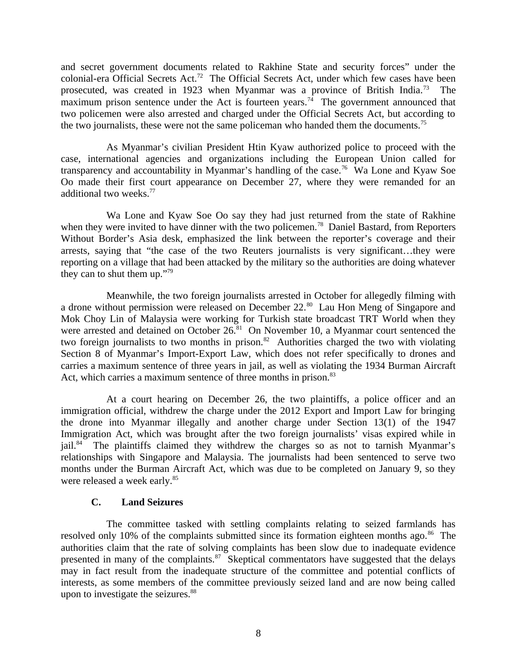and secret government documents related to Rakhine State and security forces" under the colonial-era Official Secrets Act.<sup>72</sup> The Official Secrets Act, under which few cases have been prosecuted, was created in 1923 when Myanmar was a province of British India.<sup>73</sup> The maximum prison sentence under the Act is fourteen years.<sup>74</sup> The government announced that two policemen were also arrested and charged under the Official Secrets Act, but according to the two journalists, these were not the same policeman who handed them the documents.<sup>75</sup>

As Myanmar's civilian President Htin Kyaw authorized police to proceed with the case, international agencies and organizations including the European Union called for transparency and accountability in Myanmar's handling of the case.<sup>76</sup> Wa Lone and Kyaw Soe Oo made their first court appearance on December 27, where they were remanded for an additional two weeks.<sup>77</sup>

Wa Lone and Kyaw Soe Oo say they had just returned from the state of Rakhine when they were invited to have dinner with the two policemen.<sup>78</sup> Daniel Bastard, from Reporters Without Border's Asia desk, emphasized the link between the reporter's coverage and their arrests, saying that "the case of the two Reuters journalists is very significant…they were reporting on a village that had been attacked by the military so the authorities are doing whatever they can to shut them up."<sup>79</sup>

Meanwhile, the two foreign journalists arrested in October for allegedly filming with a drone without permission were released on December 22.<sup>80</sup> Lau Hon Meng of Singapore and Mok Choy Lin of Malaysia were working for Turkish state broadcast TRT World when they were arrested and detained on October 26.<sup>81</sup> On November 10, a Myanmar court sentenced the two foreign journalists to two months in prison. $82$  Authorities charged the two with violating Section 8 of Myanmar's Import-Export Law, which does not refer specifically to drones and carries a maximum sentence of three years in jail, as well as violating the 1934 Burman Aircraft Act, which carries a maximum sentence of three months in prison.<sup>83</sup>

At a court hearing on December 26, the two plaintiffs, a police officer and an immigration official, withdrew the charge under the 2012 Export and Import Law for bringing the drone into Myanmar illegally and another charge under Section 13(1) of the 1947 Immigration Act, which was brought after the two foreign journalists' visas expired while in jail. $84$  The plaintiffs claimed they withdrew the charges so as not to tarnish Myanmar's relationships with Singapore and Malaysia. The journalists had been sentenced to serve two months under the Burman Aircraft Act, which was due to be completed on January 9, so they were released a week early.<sup>85</sup>

### <span id="page-7-0"></span>**C. Land Seizures**

The committee tasked with settling complaints relating to seized farmlands has resolved only 10% of the complaints submitted since its formation eighteen months ago. $86$  The authorities claim that the rate of solving complaints has been slow due to inadequate evidence presented in many of the complaints. $\frac{87}{3}$  Skeptical commentators have suggested that the delays may in fact result from the inadequate structure of the committee and potential conflicts of interests, as some members of the committee previously seized land and are now being called upon to investigate the seizures.<sup>88</sup>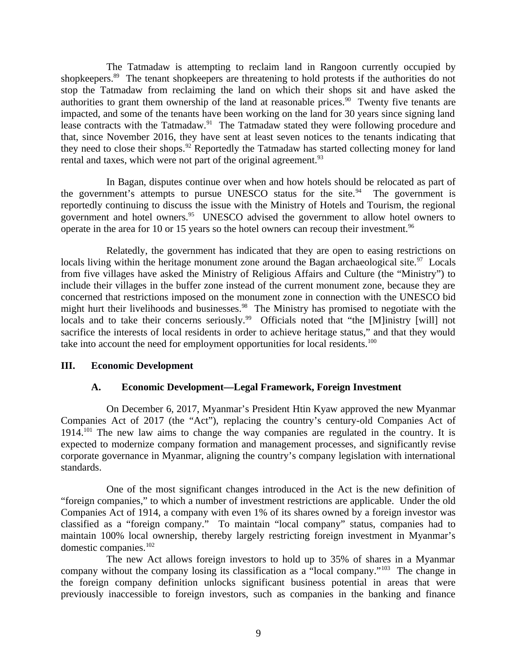The Tatmadaw is attempting to reclaim land in Rangoon currently occupied by shopkeepers.<sup>89</sup> The tenant shopkeepers are threatening to hold protests if the authorities do not stop the Tatmadaw from reclaiming the land on which their shops sit and have asked the authorities to grant them ownership of the land at reasonable prices. $90$  Twenty five tenants are impacted, and some of the tenants have been working on the land for 30 years since signing land lease contracts with the Tatmadaw. $91$  The Tatmadaw stated they were following procedure and that, since November 2016, they have sent at least seven notices to the tenants indicating that they need to close their shops. $92$  Reportedly the Tatmadaw has started collecting money for land rental and taxes, which were not part of the original agreement. $93$ 

In Bagan, disputes continue over when and how hotels should be relocated as part of the government's attempts to pursue UNESCO status for the site. $94$  The government is reportedly continuing to discuss the issue with the Ministry of Hotels and Tourism, the regional government and hotel owners.<sup>95</sup> UNESCO advised the government to allow hotel owners to operate in the area for 10 or 15 years so the hotel owners can recoup their investment.<sup>96</sup>

Relatedly, the government has indicated that they are open to easing restrictions on locals living within the heritage monument zone around the Bagan archaeological site. $97$  Locals from five villages have asked the Ministry of Religious Affairs and Culture (the "Ministry") to include their villages in the buffer zone instead of the current monument zone, because they are concerned that restrictions imposed on the monument zone in connection with the UNESCO bid might hurt their livelihoods and businesses. $98$  The Ministry has promised to negotiate with the locals and to take their concerns seriously.<sup>99</sup> Officials noted that "the [M]inistry [will] not sacrifice the interests of local residents in order to achieve heritage status," and that they would take into account the need for employment opportunities for local residents.<sup>100</sup>

### **III. Economic Development**

### <span id="page-8-1"></span><span id="page-8-0"></span>**A. Economic Development—Legal Framework, Foreign Investment**

On December 6, 2017, Myanmar's President Htin Kyaw approved the new Myanmar Companies Act of 2017 (the "Act"), replacing the country's century-old Companies Act of  $1914.<sup>101</sup>$  The new law aims to change the way companies are regulated in the country. It is expected to modernize company formation and management processes, and significantly revise corporate governance in Myanmar, aligning the country's company legislation with international standards.

One of the most significant changes introduced in the Act is the new definition of "foreign companies," to which a number of investment restrictions are applicable. Under the old Companies Act of 1914, a company with even 1% of its shares owned by a foreign investor was classified as a "foreign company." To maintain "local company" status, companies had to maintain 100% local ownership, thereby largely restricting foreign investment in Myanmar's domestic companies.<sup>102</sup>

The new Act allows foreign investors to hold up to 35% of shares in a Myanmar company without the company losing its classification as a "local company."<sup>103</sup> The change in the foreign company definition unlocks significant business potential in areas that were previously inaccessible to foreign investors, such as companies in the banking and finance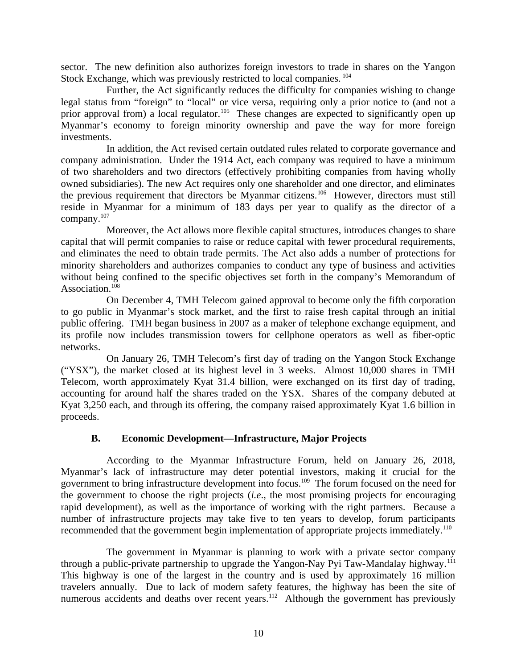sector. The new definition also authorizes foreign investors to trade in shares on the Yangon Stock Exchange, which was previously restricted to local companies.  $^{104}$ 

Further, the Act significantly reduces the difficulty for companies wishing to change legal status from "foreign" to "local" or vice versa, requiring only a prior notice to (and not a prior approval from) a local regulator.<sup>105</sup> These changes are expected to significantly open up Myanmar's economy to foreign minority ownership and pave the way for more foreign investments.

In addition, the Act revised certain outdated rules related to corporate governance and company administration. Under the 1914 Act, each company was required to have a minimum of two shareholders and two directors (effectively prohibiting companies from having wholly owned subsidiaries). The new Act requires only one shareholder and one director, and eliminates the previous requirement that directors be Myanmar citizens.<sup>106</sup> However, directors must still reside in Myanmar for a minimum of 183 days per year to qualify as the director of a company.<sup>107</sup>

Moreover, the Act allows more flexible capital structures, introduces changes to share capital that will permit companies to raise or reduce capital with fewer procedural requirements, and eliminates the need to obtain trade permits. The Act also adds a number of protections for minority shareholders and authorizes companies to conduct any type of business and activities without being confined to the specific objectives set forth in the company's Memorandum of Association.<sup>108</sup>

On December 4, TMH Telecom gained approval to become only the fifth corporation to go public in Myanmar's stock market, and the first to raise fresh capital through an initial public offering. TMH began business in 2007 as a maker of telephone exchange equipment, and its profile now includes transmission towers for cellphone operators as well as fiber-optic networks.

On January 26, TMH Telecom's first day of trading on the Yangon Stock Exchange ("YSX"), the market closed at its highest level in 3 weeks. Almost 10,000 shares in TMH Telecom, worth approximately Kyat 31.4 billion, were exchanged on its first day of trading, accounting for around half the shares traded on the YSX. Shares of the company debuted at Kyat 3,250 each, and through its offering, the company raised approximately Kyat 1.6 billion in proceeds.

### <span id="page-9-0"></span>**B. Economic Development—Infrastructure, Major Projects**

According to the Myanmar Infrastructure Forum, held on January 26, 2018, Myanmar's lack of infrastructure may deter potential investors, making it crucial for the government to bring infrastructure development into focus.<sup>109</sup> The forum focused on the need for the government to choose the right projects (*i.e*., the most promising projects for encouraging rapid development), as well as the importance of working with the right partners. Because a number of infrastructure projects may take five to ten years to develop, forum participants recommended that the government begin implementation of appropriate projects immediately.<sup>110</sup>

The government in Myanmar is planning to work with a private sector company through a public-private partnership to upgrade the Yangon-Nay Pyi Taw-Mandalay highway.<sup>111</sup> This highway is one of the largest in the country and is used by approximately 16 million travelers annually. Due to lack of modern safety features, the highway has been the site of numerous accidents and deaths over recent years.<sup>112</sup> Although the government has previously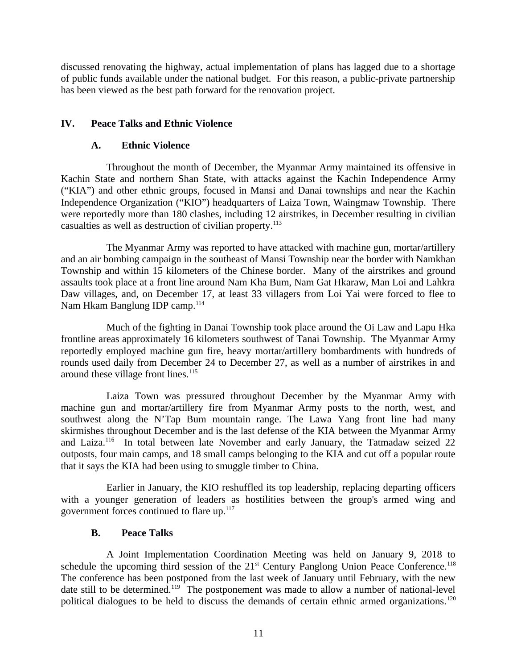discussed renovating the highway, actual implementation of plans has lagged due to a shortage of public funds available under the national budget. For this reason, a public-private partnership has been viewed as the best path forward for the renovation project.

# **IV. Peace Talks and Ethnic Violence**

## <span id="page-10-2"></span><span id="page-10-1"></span>**A. Ethnic Violence**

Throughout the month of December, the Myanmar Army maintained its offensive in Kachin State and northern Shan State, with attacks against the Kachin Independence Army ("KIA") and other ethnic groups, focused in Mansi and Danai townships and near the Kachin Independence Organization ("KIO") headquarters of Laiza Town, Waingmaw Township. There were reportedly more than 180 clashes, including 12 airstrikes, in December resulting in civilian casualties as well as destruction of civilian property. $113$ 

The Myanmar Army was reported to have attacked with machine gun, mortar/artillery and an air bombing campaign in the southeast of Mansi Township near the border with Namkhan Township and within 15 kilometers of the Chinese border. Many of the airstrikes and ground assaults took place at a front line around Nam Kha Bum, Nam Gat Hkaraw, Man Loi and Lahkra Daw villages, and, on December 17, at least 33 villagers from Loi Yai were forced to flee to Nam Hkam Banglung IDP camp.<sup>114</sup>

Much of the fighting in Danai Township took place around the Oi Law and Lapu Hka frontline areas approximately 16 kilometers southwest of Tanai Township. The Myanmar Army reportedly employed machine gun fire, heavy mortar/artillery bombardments with hundreds of rounds used daily from December 24 to December 27, as well as a number of airstrikes in and around these village front lines. $115$ 

Laiza Town was pressured throughout December by the Myanmar Army with machine gun and mortar/artillery fire from Myanmar Army posts to the north, west, and southwest along the N'Tap Bum mountain range. The Lawa Yang front line had many skirmishes throughout December and is the last defense of the KIA between the Myanmar Army and Laiza.<sup>116</sup> In total between late November and early January, the Tatmadaw seized 22 outposts, four main camps, and 18 small camps belonging to the KIA and cut off a popular route that it says the KIA had been using to smuggle timber to China.

Earlier in January, the KIO reshuffled its top leadership, replacing departing officers with a younger generation of leaders as hostilities between the group's armed wing and government forces continued to flare up. $117$ 

### <span id="page-10-0"></span>**B. Peace Talks**

A Joint Implementation Coordination Meeting was held on January 9, 2018 to schedule the upcoming third session of the  $21<sup>st</sup>$  Century Panglong Union Peace Conference.<sup>118</sup> The conference has been postponed from the last week of January until February, with the new date still to be determined.<sup>119</sup> The postponement was made to allow a number of national-level political dialogues to be held to discuss the demands of certain ethnic armed organizations.<sup>120</sup>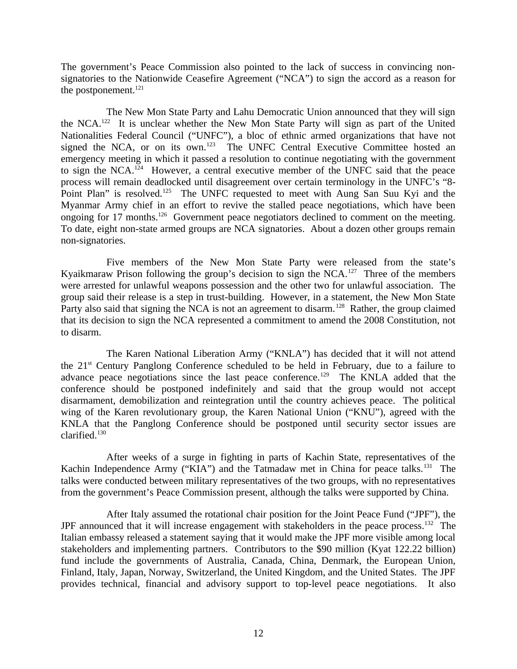The government's Peace Commission also pointed to the lack of success in convincing nonsignatories to the Nationwide Ceasefire Agreement ("NCA") to sign the accord as a reason for the postponement.<sup>121</sup>

The New Mon State Party and Lahu Democratic Union announced that they will sign the NCA.<sup>122</sup> It is unclear whether the New Mon State Party will sign as part of the United Nationalities Federal Council ("UNFC"), a bloc of ethnic armed organizations that have not signed the NCA, or on its own.<sup>123</sup> The UNFC Central Executive Committee hosted an emergency meeting in which it passed a resolution to continue negotiating with the government to sign the NCA.<sup>124</sup> However, a central executive member of the UNFC said that the peace process will remain deadlocked until disagreement over certain terminology in the UNFC's "8- Point Plan" is resolved.<sup>125</sup> The UNFC requested to meet with Aung San Suu Kyi and the Myanmar Army chief in an effort to revive the stalled peace negotiations, which have been ongoing for 17 months.<sup>126</sup> Government peace negotiators declined to comment on the meeting. To date, eight non-state armed groups are NCA signatories. About a dozen other groups remain non-signatories.

Five members of the New Mon State Party were released from the state's Kyaikmaraw Prison following the group's decision to sign the  $NCA$ <sup>127</sup> Three of the members were arrested for unlawful weapons possession and the other two for unlawful association. The group said their release is a step in trust-building. However, in a statement, the New Mon State Party also said that signing the NCA is not an agreement to disarm.<sup>128</sup> Rather, the group claimed that its decision to sign the NCA represented a commitment to amend the 2008 Constitution, not to disarm.

The Karen National Liberation Army ("KNLA") has decided that it will not attend the 21<sup>st</sup> Century Panglong Conference scheduled to be held in February, due to a failure to advance peace negotiations since the last peace conference.<sup>129</sup> The KNLA added that the conference should be postponed indefinitely and said that the group would not accept disarmament, demobilization and reintegration until the country achieves peace. The political wing of the Karen revolutionary group, the Karen National Union ("KNU"), agreed with the KNLA that the Panglong Conference should be postponed until security sector issues are clarified. $^{130}$ 

After weeks of a surge in fighting in parts of Kachin State, representatives of the Kachin Independence Army ("KIA") and the Tatmadaw met in China for peace talks.<sup>131</sup> The talks were conducted between military representatives of the two groups, with no representatives from the government's Peace Commission present, although the talks were supported by China.

After Italy assumed the rotational chair position for the Joint Peace Fund ("JPF"), the JPF announced that it will increase engagement with stakeholders in the peace process.<sup>132</sup> The Italian embassy released a statement saying that it would make the JPF more visible among local stakeholders and implementing partners. Contributors to the \$90 million (Kyat 122.22 billion) fund include the governments of Australia, Canada, China, Denmark, the European Union, Finland, Italy, Japan, Norway, Switzerland, the United Kingdom, and the United States. The JPF provides technical, financial and advisory support to top-level peace negotiations. It also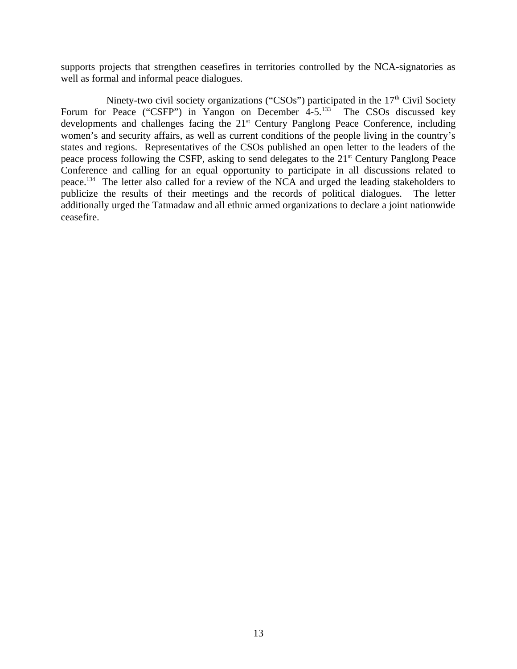supports projects that strengthen ceasefires in territories controlled by the NCA-signatories as well as formal and informal peace dialogues.

Ninety-two civil society organizations ("CSOs") participated in the  $17<sup>th</sup>$  Civil Society Forum for Peace ("CSFP") in Yangon on December 4-5.<sup>133</sup> The CSOs discussed key developments and challenges facing the 21<sup>st</sup> Century Panglong Peace Conference, including women's and security affairs, as well as current conditions of the people living in the country's states and regions. Representatives of the CSOs published an open letter to the leaders of the peace process following the CSFP, asking to send delegates to the 21<sup>st</sup> Century Panglong Peace Conference and calling for an equal opportunity to participate in all discussions related to peace.<sup>134</sup> The letter also called for a review of the NCA and urged the leading stakeholders to publicize the results of their meetings and the records of political dialogues. The letter additionally urged the Tatmadaw and all ethnic armed organizations to declare a joint nationwide ceasefire.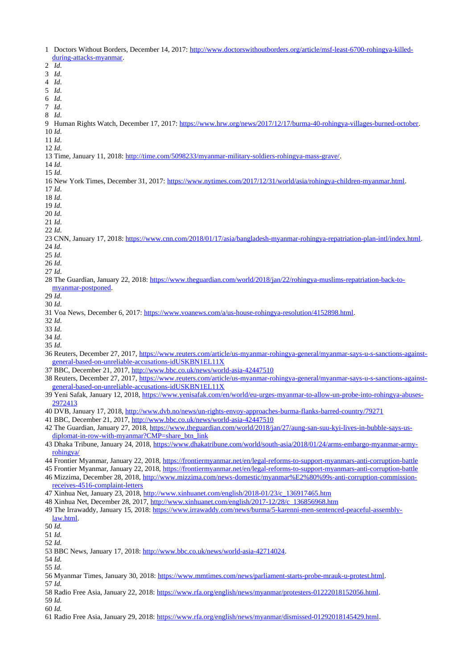- 1 Doctors Without Borders, December 14, 2017: [http://www.doctorswithoutborders.org/article/msf-least-6700-rohingya-killed](http://www.doctorswithoutborders.org/article/msf-least-6700-rohingya-killed-during-attacks-myanmar)[during-attacks-myanmar.](http://www.doctorswithoutborders.org/article/msf-least-6700-rohingya-killed-during-attacks-myanmar) 2 *Id*. 3 *Id*. 4 *Id*. 5 *Id*. 6 *Id*. 7 *Id*. 8 *Id*. 9 Human Rights Watch, December 17, 2017: [https://www.hrw.org/news/2017/12/17/burma-40-rohingya-villages-burned-october.](https://www.hrw.org/news/2017/12/17/burma-40-rohingya-villages-burned-october) 10 *Id*. 11 *Id*. 12 *Id*. 13 Time, January 11, 2018: [http://time.com/5098233/myanmar-military-soldiers-rohingya-mass-grave/.](http://time.com/5098233/myanmar-military-soldiers-rohingya-mass-grave/) 14 *Id*. 15 *Id*. 16 New York Times, December 31, 2017: [https://www.nytimes.com/2017/12/31/world/asia/rohingya-children-myanmar.html.](https://www.nytimes.com/2017/12/31/world/asia/rohingya-children-myanmar.html) 17 *Id*. 18 *Id*. 19 *Id*. 20 *Id*. 21 *Id*. 22 *Id*. 23 CNN, January 17, 2018: [https://www.cnn.com/2018/01/17/asia/bangladesh-myanmar-rohingya-repatriation-plan-intl/index.html.](https://www.cnn.com/2018/01/17/asia/bangladesh-myanmar-rohingya-repatriation-plan-intl/index.html) 24 *Id*. 25 *Id*. 26 *Id*. 27 *Id*. 28 The Guardian, January 22, 2018: [https://www.theguardian.com/world/2018/jan/22/rohingya-muslims-repatriation-back-to](https://www.theguardian.com/world/2018/jan/22/rohingya-muslims-repatriation-back-to-myanmar-postponed)[myanmar-postponed.](https://www.theguardian.com/world/2018/jan/22/rohingya-muslims-repatriation-back-to-myanmar-postponed) 29 *Id*. 30 *Id*. 31 Voa News, December 6, 2017: [https://www.voanews.com/a/us-house-rohingya-resolution/4152898.html.](https://www.voanews.com/a/us-house-rohingya-resolution/4152898.html) 32 *Id*. 33 *Id*. 34 *Id*. 35 *Id*. 36 Reuters, December 27, 2017, [https://www.reuters.com/article/us-myanmar-rohingya-general/myanmar-says-u-s-sanctions-against](https://www.reuters.com/article/us-myanmar-rohingya-general/myanmar-says-u-s-sanctions-against-general-based-on-unreliable-accusations-idUSKBN1EL11X)[general-based-on-unreliable-accusations-idUSKBN1EL11X](https://www.reuters.com/article/us-myanmar-rohingya-general/myanmar-says-u-s-sanctions-against-general-based-on-unreliable-accusations-idUSKBN1EL11X) 37 BBC, December 21, 2017,<http://www.bbc.co.uk/news/world-asia-42447510> 38 Reuters, December 27, 2017, [https://www.reuters.com/article/us-myanmar-rohingya-general/myanmar-says-u-s-sanctions-against](https://www.reuters.com/article/us-myanmar-rohingya-general/myanmar-says-u-s-sanctions-against-general-based-on-unreliable-accusations-idUSKBN1EL11X)[general-based-on-unreliable-accusations-idUSKBN1EL11X](https://www.reuters.com/article/us-myanmar-rohingya-general/myanmar-says-u-s-sanctions-against-general-based-on-unreliable-accusations-idUSKBN1EL11X) 39 Yeni Safak, January 12, 2018, [https://www.yenisafak.com/en/world/eu-urges-myanmar-to-allow-un-probe-into-rohingya-abuses-](https://www.yenisafak.com/en/world/eu-urges-myanmar-to-allow-un-probe-into-rohingya-abuses-2972413)[2972413](https://www.yenisafak.com/en/world/eu-urges-myanmar-to-allow-un-probe-into-rohingya-abuses-2972413) 40 DVB, January 17, 2018,<http://www.dvb.no/news/un-rights-envoy-approaches-burma-flanks-barred-country/79271> 41 BBC, December 21, 2017,<http://www.bbc.co.uk/news/world-asia-42447510> 42 The Guardian, January 27, 2018, [https://www.theguardian.com/world/2018/jan/27/aung-san-suu-kyi-lives-in-bubble-says-us](https://www.theguardian.com/world/2018/jan/27/aung-san-suu-kyi-lives-in-bubble-says-us-diplomat-in-row-with-myanmar?CMP=share_btn_link)[diplomat-in-row-with-myanmar?CMP=share\\_btn\\_link](https://www.theguardian.com/world/2018/jan/27/aung-san-suu-kyi-lives-in-bubble-says-us-diplomat-in-row-with-myanmar?CMP=share_btn_link) 43 Dhaka Tribune, January 24, 2018, [https://www.dhakatribune.com/world/south-asia/2018/01/24/arms-embargo-myanmar-army](https://www.dhakatribune.com/world/south-asia/2018/01/24/arms-embargo-myanmar-army-rohingya/)[rohingya/](https://www.dhakatribune.com/world/south-asia/2018/01/24/arms-embargo-myanmar-army-rohingya/) 44 Frontier Myanmar, January 22, 2018,<https://frontiermyanmar.net/en/legal-reforms-to-support-myanmars-anti-corruption-battle> 45 Frontier Myanmar, January 22, 2018,<https://frontiermyanmar.net/en/legal-reforms-to-support-myanmars-anti-corruption-battle> 46 Mizzima, December 28, 2018, [http://www.mizzima.com/news-domestic/myanmar%E2%80%99s-anti-corruption-commission](http://www.mizzima.com/news-domestic/myanmar%E2%80%99s-anti-corruption-commission-receives-4516-complaint-letters)[receives-4516-complaint-letters](http://www.mizzima.com/news-domestic/myanmar%E2%80%99s-anti-corruption-commission-receives-4516-complaint-letters)
- 47 Xinhua Net, January 23, 2018, [http://www.xinhuanet.com/english/2018-01/23/c\\_136917465.htm](http://www.xinhuanet.com/english/2018-01/23/c_136917465.htm)
- 48 Xinhua Net, December 28, 2017, [http://www.xinhuanet.com/english/2017-12/28/c\\_136856968.htm](http://www.xinhuanet.com/english/2017-12/28/c_136856968.htm)
- 49 The Irrawaddy, January 15, 2018: [https://www.irrawaddy.com/news/burma/5-karenni-men-sentenced-peaceful-assembly](https://www.irrawaddy.com/news/burma/5-karenni-men-sentenced-peaceful-assembly-law.html)[law.html.](https://www.irrawaddy.com/news/burma/5-karenni-men-sentenced-peaceful-assembly-law.html)
- 50 *Id.*

51 *Id.*

- 52 *Id.*
- 53 BBC News, January 17, 2018: [http://www.bbc.co.uk/news/world-asia-42714024.](http://www.bbc.co.uk/news/world-asia-42714024)
- 54 *Id.*
- 55 *Id.*
- 56 Myanmar Times, January 30, 2018: [https://www.mmtimes.com/news/parliament-starts-probe-mrauk-u-protest.html.](https://www.mmtimes.com/news/parliament-starts-probe-mrauk-u-protest.html) 57 *Id.*
- 58 Radio Free Asia, January 22, 2018: [https://www.rfa.org/english/news/myanmar/protesters-01222018152056.html.](https://www.rfa.org/english/news/myanmar/protesters-01222018152056.html)
- 59 *Id.*
- 60 *Id.*
- 61 Radio Free Asia, January 29, 2018: [https://www.rfa.org/english/news/myanmar/dismissed-01292018145429.html.](https://www.rfa.org/english/news/myanmar/dismissed-01292018145429.html)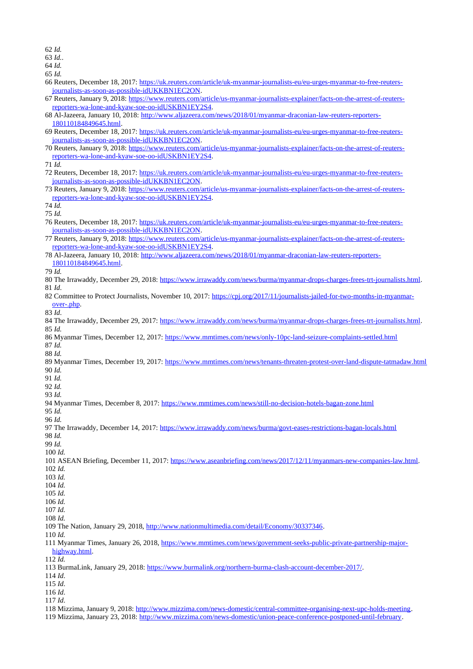62 *Id.*

63 *Id.*.

64 *Id.*

65 *Id.*

- 66 Reuters, December 18, 2017: [https://uk.reuters.com/article/uk-myanmar-journalists-eu/eu-urges-myanmar-to-free-reuters](https://uk.reuters.com/article/uk-myanmar-journalists-eu/eu-urges-myanmar-to-free-reuters-journalists-as-soon-as-possible-idUKKBN1EC2ON)[journalists-as-soon-as-possible-idUKKBN1EC2ON.](https://uk.reuters.com/article/uk-myanmar-journalists-eu/eu-urges-myanmar-to-free-reuters-journalists-as-soon-as-possible-idUKKBN1EC2ON)
- 67 Reuters, January 9, 2018: [https://www.reuters.com/article/us-myanmar-journalists-explainer/facts-on-the-arrest-of-reuters](https://www.reuters.com/article/us-myanmar-journalists-explainer/facts-on-the-arrest-of-reuters-reporters-wa-lone-and-kyaw-soe-oo-idUSKBN1EY2S4)[reporters-wa-lone-and-kyaw-soe-oo-idUSKBN1EY2S4.](https://www.reuters.com/article/us-myanmar-journalists-explainer/facts-on-the-arrest-of-reuters-reporters-wa-lone-and-kyaw-soe-oo-idUSKBN1EY2S4)
- 68 Al-Jazeera, January 10, 2018: [http://www.aljazeera.com/news/2018/01/myanmar-draconian-law-reuters-reporters-](http://www.aljazeera.com/news/2018/01/myanmar-draconian-law-reuters-reporters-180110184849645.html)[180110184849645.html.](http://www.aljazeera.com/news/2018/01/myanmar-draconian-law-reuters-reporters-180110184849645.html)
- 69 Reuters, December 18, 2017: [https://uk.reuters.com/article/uk-myanmar-journalists-eu/eu-urges-myanmar-to-free-reuters](https://uk.reuters.com/article/uk-myanmar-journalists-eu/eu-urges-myanmar-to-free-reuters-journalists-as-soon-as-possible-idUKKBN1EC2ON)[journalists-as-soon-as-possible-idUKKBN1EC2ON.](https://uk.reuters.com/article/uk-myanmar-journalists-eu/eu-urges-myanmar-to-free-reuters-journalists-as-soon-as-possible-idUKKBN1EC2ON)
- 70 Reuters, January 9, 2018: [https://www.reuters.com/article/us-myanmar-journalists-explainer/facts-on-the-arrest-of-reuters](https://www.reuters.com/article/us-myanmar-journalists-explainer/facts-on-the-arrest-of-reuters-reporters-wa-lone-and-kyaw-soe-oo-idUSKBN1EY2S4)[reporters-wa-lone-and-kyaw-soe-oo-idUSKBN1EY2S4.](https://www.reuters.com/article/us-myanmar-journalists-explainer/facts-on-the-arrest-of-reuters-reporters-wa-lone-and-kyaw-soe-oo-idUSKBN1EY2S4)

71 *Id.*

- 72 Reuters, December 18, 2017: [https://uk.reuters.com/article/uk-myanmar-journalists-eu/eu-urges-myanmar-to-free-reuters](https://uk.reuters.com/article/uk-myanmar-journalists-eu/eu-urges-myanmar-to-free-reuters-journalists-as-soon-as-possible-idUKKBN1EC2ON)[journalists-as-soon-as-possible-idUKKBN1EC2ON.](https://uk.reuters.com/article/uk-myanmar-journalists-eu/eu-urges-myanmar-to-free-reuters-journalists-as-soon-as-possible-idUKKBN1EC2ON)
- 73 Reuters, January 9, 2018: [https://www.reuters.com/article/us-myanmar-journalists-explainer/facts-on-the-arrest-of-reuters](https://www.reuters.com/article/us-myanmar-journalists-explainer/facts-on-the-arrest-of-reuters-reporters-wa-lone-and-kyaw-soe-oo-idUSKBN1EY2S4)[reporters-wa-lone-and-kyaw-soe-oo-idUSKBN1EY2S4.](https://www.reuters.com/article/us-myanmar-journalists-explainer/facts-on-the-arrest-of-reuters-reporters-wa-lone-and-kyaw-soe-oo-idUSKBN1EY2S4)

74 *Id.*

75 *Id.*

- 76 Reuters, December 18, 2017: [https://uk.reuters.com/article/uk-myanmar-journalists-eu/eu-urges-myanmar-to-free-reuters](https://uk.reuters.com/article/uk-myanmar-journalists-eu/eu-urges-myanmar-to-free-reuters-journalists-as-soon-as-possible-idUKKBN1EC2ON)[journalists-as-soon-as-possible-idUKKBN1EC2ON.](https://uk.reuters.com/article/uk-myanmar-journalists-eu/eu-urges-myanmar-to-free-reuters-journalists-as-soon-as-possible-idUKKBN1EC2ON)
- 77 Reuters, January 9, 2018: [https://www.reuters.com/article/us-myanmar-journalists-explainer/facts-on-the-arrest-of-reuters](https://www.reuters.com/article/us-myanmar-journalists-explainer/facts-on-the-arrest-of-reuters-reporters-wa-lone-and-kyaw-soe-oo-idUSKBN1EY2S4)[reporters-wa-lone-and-kyaw-soe-oo-idUSKBN1EY2S4.](https://www.reuters.com/article/us-myanmar-journalists-explainer/facts-on-the-arrest-of-reuters-reporters-wa-lone-and-kyaw-soe-oo-idUSKBN1EY2S4)
- 78 Al-Jazeera, January 10, 2018: [http://www.aljazeera.com/news/2018/01/myanmar-draconian-law-reuters-reporters-](http://www.aljazeera.com/news/2018/01/myanmar-draconian-law-reuters-reporters-180110184849645.html)[180110184849645.html.](http://www.aljazeera.com/news/2018/01/myanmar-draconian-law-reuters-reporters-180110184849645.html)

79 *Id.*

- 80 The Irrawaddy, December 29, 2018: [https://www.irrawaddy.com/news/burma/myanmar-drops-charges-frees-trt-journalists.html.](https://www.irrawaddy.com/news/burma/myanmar-drops-charges-frees-trt-journalists.html) 81 *Id*.
- 82 Committee to Protect Journalists, November 10, 2017: [https://cpj.org/2017/11/journalists-jailed-for-two-months-in-myanmar](https://cpj.org/2017/11/journalists-jailed-for-two-months-in-myanmar-over-.php)[over-.php.](https://cpj.org/2017/11/journalists-jailed-for-two-months-in-myanmar-over-.php)

83 *Id*.

- 84 The Irrawaddy, December 29, 2017: [https://www.irrawaddy.com/news/burma/myanmar-drops-charges-frees-trt-journalists.html.](https://www.irrawaddy.com/news/burma/myanmar-drops-charges-frees-trt-journalists.html) 85 *Id.*
- 86 Myanmar Times, December 12, 2017:<https://www.mmtimes.com/news/only-10pc-land-seizure-complaints-settled.html> 87 *Id.*

88 *Id.*

89 Myanmar Times, December 19, 2017:<https://www.mmtimes.com/news/tenants-threaten-protest-over-land-dispute-tatmadaw.html> 90 *Id.*

91 *Id.*

92 *Id.*

- 93 *Id.*
- 94 Myanmar Times, December 8, 2017:<https://www.mmtimes.com/news/still-no-decision-hotels-bagan-zone.html>

95 *Id.* 96 *Id.*

97 The Irrawaddy, December 14, 2017:<https://www.irrawaddy.com/news/burma/govt-eases-restrictions-bagan-locals.html>

98 *Id.*

- 99 *Id.* 100 *Id.*
- 101 ASEAN Briefing, December 11, 2017: [https://www.aseanbriefing.com/news/2017/12/11/myanmars-new-companies-law.html.](https://www.aseanbriefing.com/news/2017/12/11/myanmars-new-companies-law.html) 102 *Id.*
- 103 *Id.*
- 104 *Id.* 105 *Id.*
- 106 *Id.*
- 107 *Id.*
- 108 *Id.*
- 109 The Nation, January 29, 2018, [http://www.nationmultimedia.com/detail/Economy/30337346.](http://www.nationmultimedia.com/detail/Economy/30337346)
- 110 *Id.*
- 111 Myanmar Times, January 26, 2018, [https://www.mmtimes.com/news/government-seeks-public-private-partnership-major](https://www.mmtimes.com/news/government-seeks-public-private-partnership-major-highway.html)[highway.html.](https://www.mmtimes.com/news/government-seeks-public-private-partnership-major-highway.html)

112 *Id.*

- 114 *Id*.
- 115 *Id*.
- 116 *Id*. 117 *Id*.

119 Mizzima, January 23, 2018: [http://www.mizzima.com/news-domestic/union-peace-conference-postponed-until-february.](http://www.mizzima.com/news-domestic/union-peace-conference-postponed-until-february)

<sup>113</sup> BurmaLink, January 29, 2018: [https://www.burmalink.org/northern-burma-clash-account-december-2017/.](https://www.burmalink.org/northern-burma-clash-account-december-2017/)

<sup>118</sup> Mizzima, January 9, 2018: [http://www.mizzima.com/news-domestic/central-committee-organising-next-upc-holds-meeting.](http://www.mizzima.com/news-domestic/central-committee-organising-next-upc-holds-meeting)